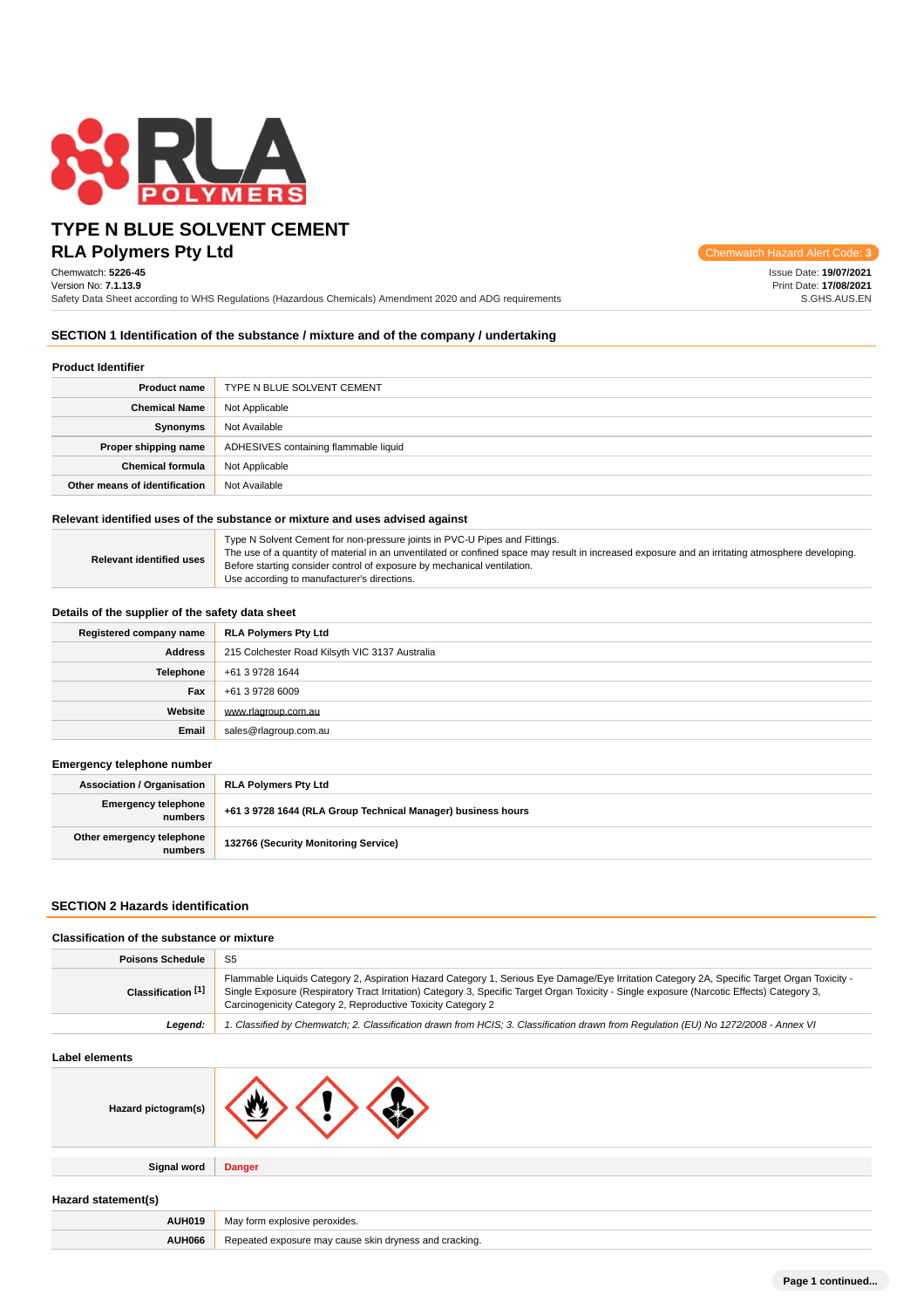

# **RLA Polymers Pty Ltd** Chemwatch Hazard Alert Code: **3 TYPE N BLUE SOLVENT CEMENT**

Chemwatch: **5226-45** Version No: **7.1.13.9**

| <b>Issue Date: 19/07/2021</b> |
|-------------------------------|
| Print Date: 17/08/2021        |
| S.GHS.AUS.EN                  |

Safety Data Sheet according to WHS Regulations (Hazardous Chemicals) Amendment 2020 and ADG requirements

#### **SECTION 1 Identification of the substance / mixture and of the company / undertaking**

| <b>Product Identifier</b>     |                                       |  |
|-------------------------------|---------------------------------------|--|
| <b>Product name</b>           | TYPE N BLUE SOLVENT CEMENT            |  |
| <b>Chemical Name</b>          | Not Applicable                        |  |
| Synonyms                      | Not Available                         |  |
| Proper shipping name          | ADHESIVES containing flammable liquid |  |
| <b>Chemical formula</b>       | Not Applicable                        |  |
| Other means of identification | Not Available                         |  |

#### **Relevant identified uses of the substance or mixture and uses advised against**

| Relevant identified uses | Type N Solvent Cement for non-pressure joints in PVC-U Pipes and Fittings.<br>The use of a quantity of material in an unventilated or confined space may result in increased exposure and an irritating atmosphere developing.<br>Before starting consider control of exposure by mechanical ventilation.<br>Use according to manufacturer's directions. |
|--------------------------|----------------------------------------------------------------------------------------------------------------------------------------------------------------------------------------------------------------------------------------------------------------------------------------------------------------------------------------------------------|
|--------------------------|----------------------------------------------------------------------------------------------------------------------------------------------------------------------------------------------------------------------------------------------------------------------------------------------------------------------------------------------------------|

#### **Details of the supplier of the safety data sheet**

| Registered company name | <b>RLA Polymers Pty Ltd</b>                    |  |
|-------------------------|------------------------------------------------|--|
| Address                 | 215 Colchester Road Kilsyth VIC 3137 Australia |  |
| Telephone               | +61 3 9728 1644                                |  |
| Fax                     | +61 3 9728 6009                                |  |
| Website                 | www.rlagroup.com.au                            |  |
| Email                   | sales@rlagroup.com.au                          |  |

### **Emergency telephone number**

| <b>Association / Organisation</b>     | RLA Polymers Pty Ltd                                         |  |
|---------------------------------------|--------------------------------------------------------------|--|
| <b>Emergency telephone</b><br>numbers | +61 3 9728 1644 (RLA Group Technical Manager) business hours |  |
| Other emergency telephone<br>numbers  | 132766 (Security Monitoring Service)                         |  |

#### **SECTION 2 Hazards identification**

#### **Classification of the substance or mixture Poisons Schedule** S5 **Classification [1]** Flammable Liquids Category 2, Aspiration Hazard Category 1, Serious Eye Damage/Eye Irritation Category 2A, Specific Target Organ Toxicity - Single Exposure (Respiratory Tract Irritation) Category 3, Specific Target Organ Toxicity - Single exposure (Narcotic Effects) Category 3, Carcinogenicity Category 2, Reproductive Toxicity Category 2 **Legend:** 1. Classified by Chemwatch; 2. Classification drawn from HCIS; 3. Classification drawn from Regulation (EU) No 1272/2008 - Annex VI

#### **Label elements**

| Hazard pictogram(s) | . XA          |
|---------------------|---------------|
|                     |               |
| <b>Signal word</b>  | <b>Danger</b> |

### **Hazard statement(s)**

| AUH01' | ,,,,<br><b>Nich</b><br>. |  |
|--------|--------------------------|--|
| AUH066 | cracking.                |  |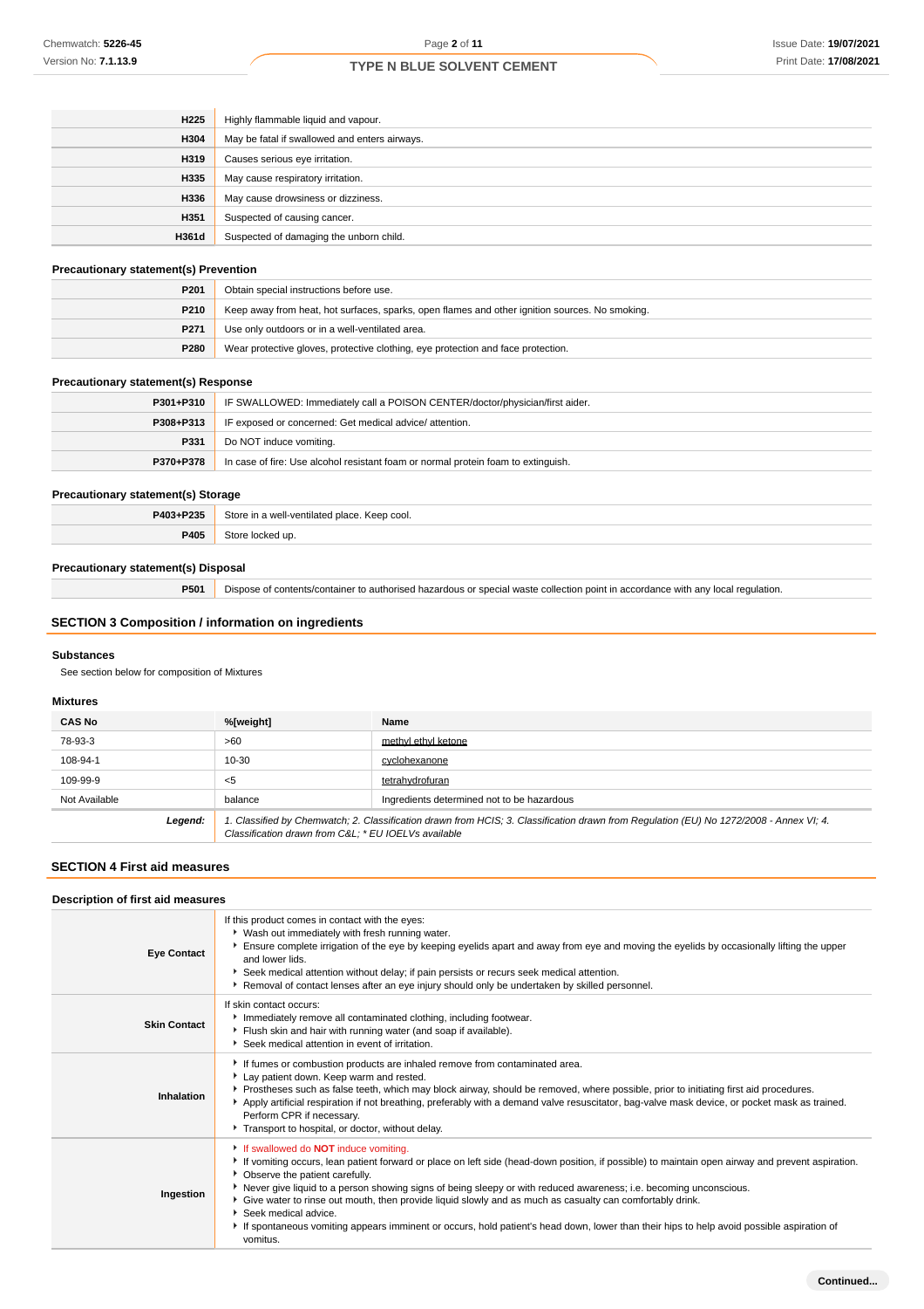| H <sub>225</sub> | Highly flammable liquid and vapour.           |  |  |
|------------------|-----------------------------------------------|--|--|
| H304             | May be fatal if swallowed and enters airways. |  |  |
| H319             | Causes serious eye irritation.                |  |  |
| H335             | May cause respiratory irritation.             |  |  |
| H336             | May cause drowsiness or dizziness.            |  |  |
| H351             | Suspected of causing cancer.                  |  |  |
| H361d            | Suspected of damaging the unborn child.       |  |  |

### **Precautionary statement(s) Prevention**

| P <sub>201</sub> | Obtain special instructions before use.                                                        |  |
|------------------|------------------------------------------------------------------------------------------------|--|
| <b>P210</b>      | Keep away from heat, hot surfaces, sparks, open flames and other ignition sources. No smoking. |  |
| P <sub>271</sub> | Use only outdoors or in a well-ventilated area.                                                |  |
| <b>P280</b>      | Wear protective gloves, protective clothing, eye protection and face protection.               |  |

# **Precautionary statement(s) Response**

| P301+P310 | IF SWALLOWED: Immediately call a POISON CENTER/doctor/physician/first aider.      |  |
|-----------|-----------------------------------------------------------------------------------|--|
| P308+P313 | IF exposed or concerned: Get medical advice/attention.                            |  |
| P331      | Do NOT induce vomiting.                                                           |  |
| P370+P378 | In case of fire: Use alcohol resistant foam or normal protein foam to extinguish. |  |

# **Precautionary statement(s) Storage**

| P403+P235 | Store in a well-ventilated place. Keep cool. |  |
|-----------|----------------------------------------------|--|
| P405      | Store locked up.                             |  |

### **Precautionary statement(s) Disposal**

**P501** Dispose of contents/container to authorised hazardous or special waste collection point in accordance with any local regulation.

### **SECTION 3 Composition / information on ingredients**

#### **Substances**

See section below for composition of Mixtures

### **Mixtures**

| <b>CAS No</b> | %[weight]                                                                                                                                                                                      | Name                                       |
|---------------|------------------------------------------------------------------------------------------------------------------------------------------------------------------------------------------------|--------------------------------------------|
| 78-93-3       | >60                                                                                                                                                                                            | methyl ethyl ketone                        |
| 108-94-1      | 10-30                                                                                                                                                                                          | cyclohexanone                              |
| 109-99-9      | $5$                                                                                                                                                                                            | tetrahydrofuran                            |
| Not Available | balance                                                                                                                                                                                        | Ingredients determined not to be hazardous |
| Legend:       | 1. Classified by Chemwatch; 2. Classification drawn from HCIS; 3. Classification drawn from Regulation (EU) No 1272/2008 - Annex VI; 4.<br>Classification drawn from C&L * EU IOELVs available |                                            |

#### **SECTION 4 First aid measures**

| Description of first aid measures |                                                                                                                                                                                                                                                                                                                                                                                                                                                                                                                                                                                                                                                        |
|-----------------------------------|--------------------------------------------------------------------------------------------------------------------------------------------------------------------------------------------------------------------------------------------------------------------------------------------------------------------------------------------------------------------------------------------------------------------------------------------------------------------------------------------------------------------------------------------------------------------------------------------------------------------------------------------------------|
| <b>Eye Contact</b>                | If this product comes in contact with the eyes:<br>▶ Wash out immediately with fresh running water.<br>Ensure complete irrigation of the eye by keeping eyelids apart and away from eye and moving the eyelids by occasionally lifting the upper<br>and lower lids.<br>Seek medical attention without delay; if pain persists or recurs seek medical attention.<br>Removal of contact lenses after an eye injury should only be undertaken by skilled personnel.                                                                                                                                                                                       |
| <b>Skin Contact</b>               | If skin contact occurs:<br>Immediately remove all contaminated clothing, including footwear.<br>Flush skin and hair with running water (and soap if available).<br>Seek medical attention in event of irritation.                                                                                                                                                                                                                                                                                                                                                                                                                                      |
| Inhalation                        | If fumes or combustion products are inhaled remove from contaminated area.<br>Lay patient down. Keep warm and rested.<br>▶ Prostheses such as false teeth, which may block airway, should be removed, where possible, prior to initiating first aid procedures.<br>Apply artificial respiration if not breathing, preferably with a demand valve resuscitator, bag-valve mask device, or pocket mask as trained.<br>Perform CPR if necessary.<br>Transport to hospital, or doctor, without delay.                                                                                                                                                      |
| Ingestion                         | If swallowed do <b>NOT</b> induce vomiting.<br>If vomiting occurs, lean patient forward or place on left side (head-down position, if possible) to maintain open airway and prevent aspiration.<br>• Observe the patient carefully.<br>▶ Never give liquid to a person showing signs of being sleepy or with reduced awareness; i.e. becoming unconscious.<br>Give water to rinse out mouth, then provide liquid slowly and as much as casualty can comfortably drink.<br>Seek medical advice.<br>If spontaneous vomiting appears imminent or occurs, hold patient's head down, lower than their hips to help avoid possible aspiration of<br>vomitus. |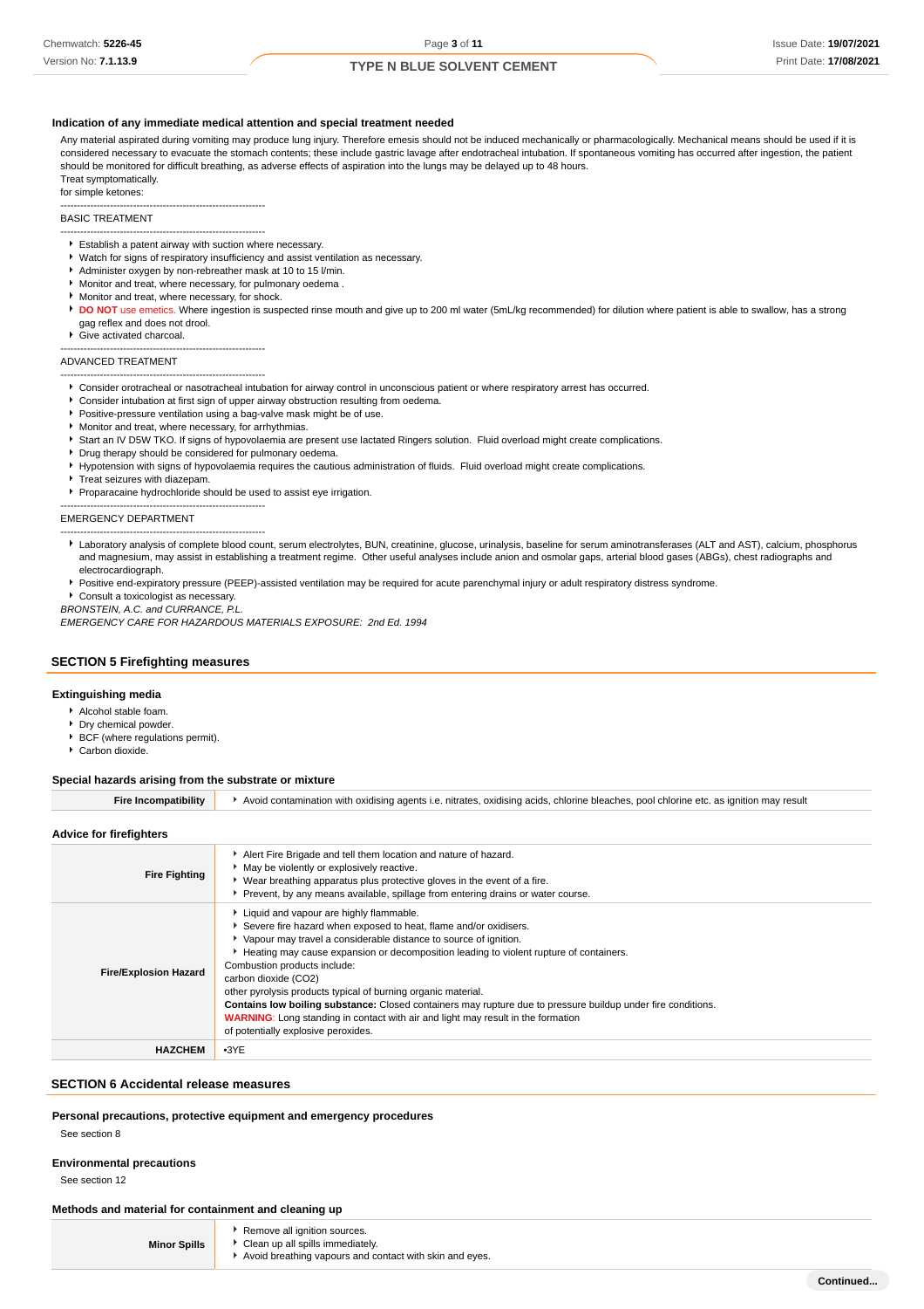#### **Indication of any immediate medical attention and special treatment needed**

Any material aspirated during vomiting may produce lung injury. Therefore emesis should not be induced mechanically or pharmacologically. Mechanical means should be used if it is considered necessary to evacuate the stomach contents; these include gastric lavage after endotracheal intubation. If spontaneous vomiting has occurred after ingestion, the patient should be monitored for difficult breathing, as adverse effects of aspiration into the lungs may be delayed up to 48 hours. Treat symptomatically.

for simple ketones:

--------------------------------------------------------------

# BASIC TREATMENT

- -------------------------------------------------------------- Establish a patent airway with suction where necessary.
- Watch for signs of respiratory insufficiency and assist ventilation as necessary.
- Administer oxygen by non-rebreather mask at 10 to 15 l/min.
- Monitor and treat, where necessary, for pulmonary oedema .
- **Monitor and treat, where necessary, for shock.**
- **DO NOT** use emetics. Where ingestion is suspected rinse mouth and give up to 200 ml water (5mL/kg recommended) for dilution where patient is able to swallow, has a strong gag reflex and does not drool.
- ▶ Give activated charcoal.
- --------------------------------------------------------------

#### ADVANCED TREATMENT --------------------------------------------------------------

- Consider orotracheal or nasotracheal intubation for airway control in unconscious patient or where respiratory arrest has occurred.
- Consider intubation at first sign of upper airway obstruction resulting from oedema.  $\blacktriangleright$
- **Positive-pressure ventilation using a bag-valve mask might be of use.**
- Monitor and treat, where necessary, for arrhythmias.
- Start an IV D5W TKO. If signs of hypovolaemia are present use lactated Ringers solution. Fluid overload might create complications.
- Drug therapy should be considered for pulmonary oedema.
- Hypotension with signs of hypovolaemia requires the cautious administration of fluids. Fluid overload might create complications
- Treat seizures with diazepam

--------------------------------------------------------------

Proparacaine hydrochloride should be used to assist eye irrigation.

EMERGENCY DEPARTMENT

- -------------------------------------------------------------- Laboratory analysis of complete blood count, serum electrolytes, BUN, creatinine, glucose, urinalysis, baseline for serum aminotransferases (ALT and AST), calcium, phosphorus and magnesium, may assist in establishing a treatment regime. Other useful analyses include anion and osmolar gaps, arterial blood gases (ABGs), chest radiographs and electrocardiograph.
- Positive end-expiratory pressure (PEEP)-assisted ventilation may be required for acute parenchymal injury or adult respiratory distress syndrome.

Consult a toxicologist as necessary.

BRONSTEIN, A.C. and CURRANCE, P.L. EMERGENCY CARE FOR HAZARDOUS MATERIALS EXPOSURE: 2nd Ed. 1994

#### **SECTION 5 Firefighting measures**

#### **Extinguishing media**

- Alcohol stable foam.
- Dry chemical powder.
- BCF (where regulations permit).
- Carbon dioxide.

#### **Special hazards arising from the substrate or mixture**

| <b>Fire Incompatibility</b>  | Avoid contamination with oxidising agents i.e. nitrates, oxidising acids, chlorine bleaches, pool chlorine etc. as ignition may result                                                                                                                                                                                                                                                                                                                                                                                                                                                                                                                 |  |  |  |  |
|------------------------------|--------------------------------------------------------------------------------------------------------------------------------------------------------------------------------------------------------------------------------------------------------------------------------------------------------------------------------------------------------------------------------------------------------------------------------------------------------------------------------------------------------------------------------------------------------------------------------------------------------------------------------------------------------|--|--|--|--|
| Advice for firefighters      |                                                                                                                                                                                                                                                                                                                                                                                                                                                                                                                                                                                                                                                        |  |  |  |  |
| <b>Fire Fighting</b>         | Alert Fire Brigade and tell them location and nature of hazard.<br>• May be violently or explosively reactive.<br>• Wear breathing apparatus plus protective gloves in the event of a fire.<br>▶ Prevent, by any means available, spillage from entering drains or water course.                                                                                                                                                                                                                                                                                                                                                                       |  |  |  |  |
| <b>Fire/Explosion Hazard</b> | Liquid and vapour are highly flammable.<br>Severe fire hazard when exposed to heat, flame and/or oxidisers.<br>▶ Vapour may travel a considerable distance to source of ignition.<br>Heating may cause expansion or decomposition leading to violent rupture of containers.<br>Combustion products include:<br>carbon dioxide (CO2)<br>other pyrolysis products typical of burning organic material.<br>Contains low boiling substance: Closed containers may rupture due to pressure buildup under fire conditions.<br><b>WARNING:</b> Long standing in contact with air and light may result in the formation<br>of potentially explosive peroxides. |  |  |  |  |
| <b>HAZCHEM</b>               | $-3YE$                                                                                                                                                                                                                                                                                                                                                                                                                                                                                                                                                                                                                                                 |  |  |  |  |

#### **SECTION 6 Accidental release measures**

#### **Personal precautions, protective equipment and emergency procedures**

See section 8

#### **Environmental precautions**

See section 12

#### **Methods and material for containment and cleaning up**

| <b>Minor Spills</b> |
|---------------------|
|---------------------|

- Remove all ignition sources. Clean up all spills immediately.
- Avoid breathing vapours and contact with skin and eyes.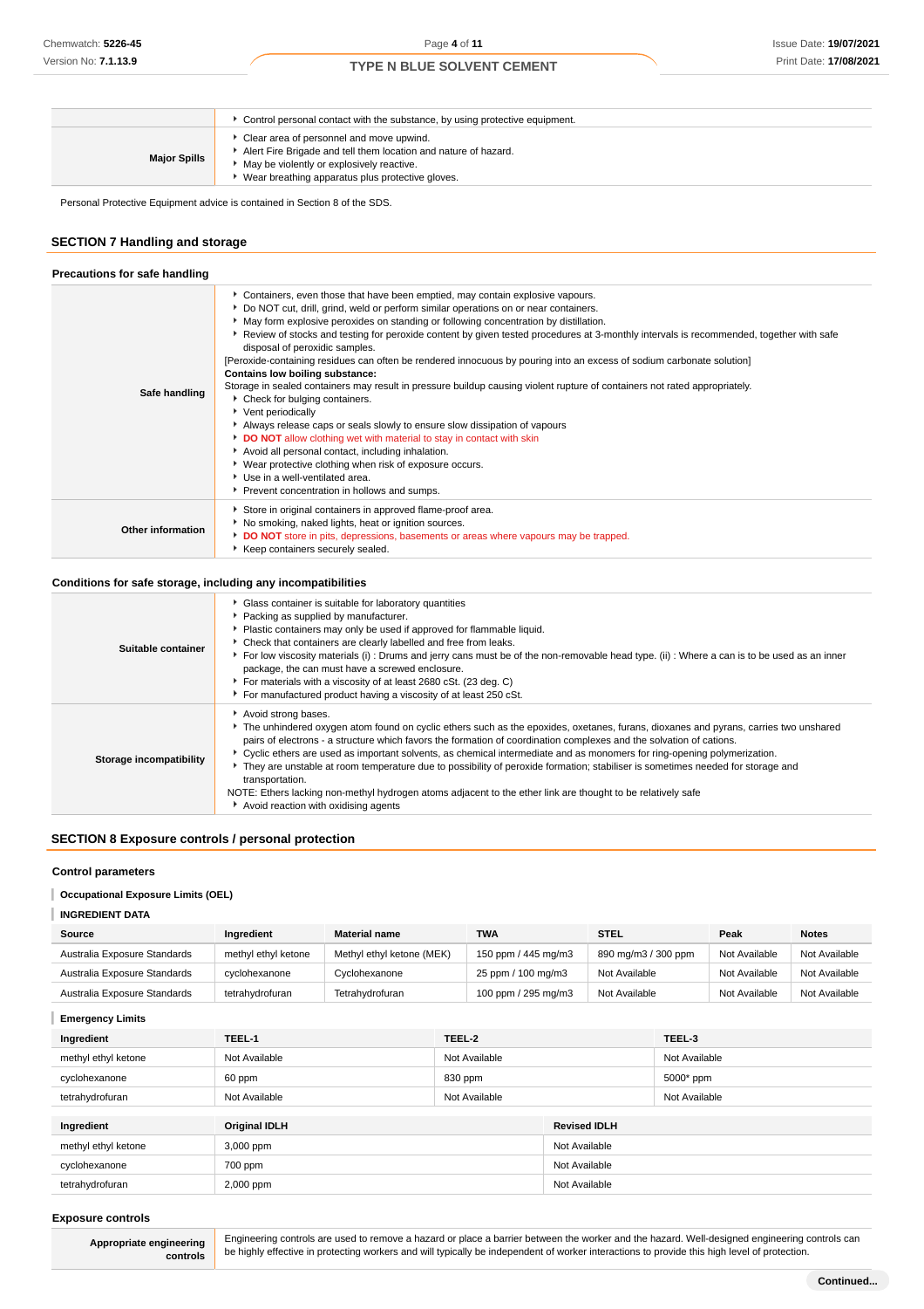|                     | Control personal contact with the substance, by using protective equipment.                                                                                                                                  |
|---------------------|--------------------------------------------------------------------------------------------------------------------------------------------------------------------------------------------------------------|
| <b>Major Spills</b> | Clear area of personnel and move upwind.<br>Alert Fire Brigade and tell them location and nature of hazard.<br>May be violently or explosively reactive.<br>Wear breathing apparatus plus protective gloves. |

Personal Protective Equipment advice is contained in Section 8 of the SDS.

# **SECTION 7 Handling and storage**

| Precautions for safe handling |                                                                                                                                                                                                                                                                                                                                                                                                                                                                                                                                                                                                                                                                                                                                                                                                                                                                                                                                                                                                                                                                                                                                                       |
|-------------------------------|-------------------------------------------------------------------------------------------------------------------------------------------------------------------------------------------------------------------------------------------------------------------------------------------------------------------------------------------------------------------------------------------------------------------------------------------------------------------------------------------------------------------------------------------------------------------------------------------------------------------------------------------------------------------------------------------------------------------------------------------------------------------------------------------------------------------------------------------------------------------------------------------------------------------------------------------------------------------------------------------------------------------------------------------------------------------------------------------------------------------------------------------------------|
| Safe handling                 | Containers, even those that have been emptied, may contain explosive vapours.<br>Do NOT cut, drill, grind, weld or perform similar operations on or near containers.<br>► May form explosive peroxides on standing or following concentration by distillation.<br>▶ Review of stocks and testing for peroxide content by given tested procedures at 3-monthly intervals is recommended, together with safe<br>disposal of peroxidic samples.<br>[Peroxide-containing residues can often be rendered innocuous by pouring into an excess of sodium carbonate solution]<br>Contains low boiling substance:<br>Storage in sealed containers may result in pressure buildup causing violent rupture of containers not rated appropriately.<br>* Check for bulging containers.<br>Vent periodically<br>Always release caps or seals slowly to ensure slow dissipation of vapours<br>DO NOT allow clothing wet with material to stay in contact with skin<br>Avoid all personal contact, including inhalation.<br>▶ Wear protective clothing when risk of exposure occurs.<br>Use in a well-ventilated area.<br>Prevent concentration in hollows and sumps. |
| <b>Other information</b>      | Store in original containers in approved flame-proof area.<br>No smoking, naked lights, heat or ignition sources.<br>DO NOT store in pits, depressions, basements or areas where vapours may be trapped.<br>Keep containers securely sealed.                                                                                                                                                                                                                                                                                                                                                                                                                                                                                                                                                                                                                                                                                                                                                                                                                                                                                                          |

### **Conditions for safe storage, including any incompatibilities**

| Suitable container      | Glass container is suitable for laboratory quantities<br>Packing as supplied by manufacturer.<br>Plastic containers may only be used if approved for flammable liquid.                                                                                                                                                                                                                                                                                                                                                                                                                                                                                                                                                     |
|-------------------------|----------------------------------------------------------------------------------------------------------------------------------------------------------------------------------------------------------------------------------------------------------------------------------------------------------------------------------------------------------------------------------------------------------------------------------------------------------------------------------------------------------------------------------------------------------------------------------------------------------------------------------------------------------------------------------------------------------------------------|
|                         | Check that containers are clearly labelled and free from leaks.<br>For low viscosity materials (i): Drums and jerry cans must be of the non-removable head type. (ii): Where a can is to be used as an inner<br>package, the can must have a screwed enclosure.<br>For materials with a viscosity of at least 2680 cSt. (23 deg. C)<br>For manufactured product having a viscosity of at least 250 cSt.                                                                                                                                                                                                                                                                                                                    |
| Storage incompatibility | Avoid strong bases.<br>The unhindered oxygen atom found on cyclic ethers such as the epoxides, oxetanes, furans, dioxanes and pyrans, carries two unshared<br>pairs of electrons - a structure which favors the formation of coordination complexes and the solvation of cations.<br>▶ Cyclic ethers are used as important solvents, as chemical intermediate and as monomers for ring-opening polymerization.<br>They are unstable at room temperature due to possibility of peroxide formation; stabiliser is sometimes needed for storage and<br>transportation.<br>NOTE: Ethers lacking non-methyl hydrogen atoms adjacent to the ether link are thought to be relatively safe<br>Avoid reaction with oxidising agents |

### **SECTION 8 Exposure controls / personal protection**

#### **Control parameters**

#### **Occupational Exposure Limits (OEL)**

| <b>INGREDIENT DATA</b>       |                     |                           |                     |                     |               |               |
|------------------------------|---------------------|---------------------------|---------------------|---------------------|---------------|---------------|
| Source                       | Ingredient          | <b>Material name</b>      | <b>TWA</b>          | <b>STEL</b>         | Peak          | <b>Notes</b>  |
| Australia Exposure Standards | methyl ethyl ketone | Methyl ethyl ketone (MEK) | 150 ppm / 445 mg/m3 | 890 mg/m3 / 300 ppm | Not Available | Not Available |
| Australia Exposure Standards | cyclohexanone       | Cyclohexanone             | 25 ppm / 100 mg/m3  | Not Available       | Not Available | Not Available |
| Australia Exposure Standards | tetrahvdrofuran     | Tetrahydrofuran           | 100 ppm / 295 mg/m3 | Not Available       | Not Available | Not Available |

### **Emergency Limits**

| Ingredient          | TEEL-1               | TEEL-2        |                     | TEEL-3        |  |           |
|---------------------|----------------------|---------------|---------------------|---------------|--|-----------|
| methyl ethyl ketone | Not Available        | Not Available |                     | Not Available |  |           |
| cyclohexanone       | 60 ppm               | 830 ppm       |                     |               |  | 5000* ppm |
| tetrahydrofuran     | Not Available        | Not Available |                     | Not Available |  |           |
|                     |                      |               |                     |               |  |           |
| Ingredient          | <b>Original IDLH</b> |               | <b>Revised IDLH</b> |               |  |           |
| methyl ethyl ketone | 3,000 ppm            |               | Not Available       |               |  |           |
| cyclohexanone       | 700 ppm              |               | Not Available       |               |  |           |
| tetrahydrofuran     | 2,000 ppm            |               | Not Available       |               |  |           |

#### **Exposure controls**

**Appropriate engineering controls**

Engineering controls are used to remove a hazard or place a barrier between the worker and the hazard. Well-designed engineering controls can be highly effective in protecting workers and will typically be independent of worker interactions to provide this high level of protection.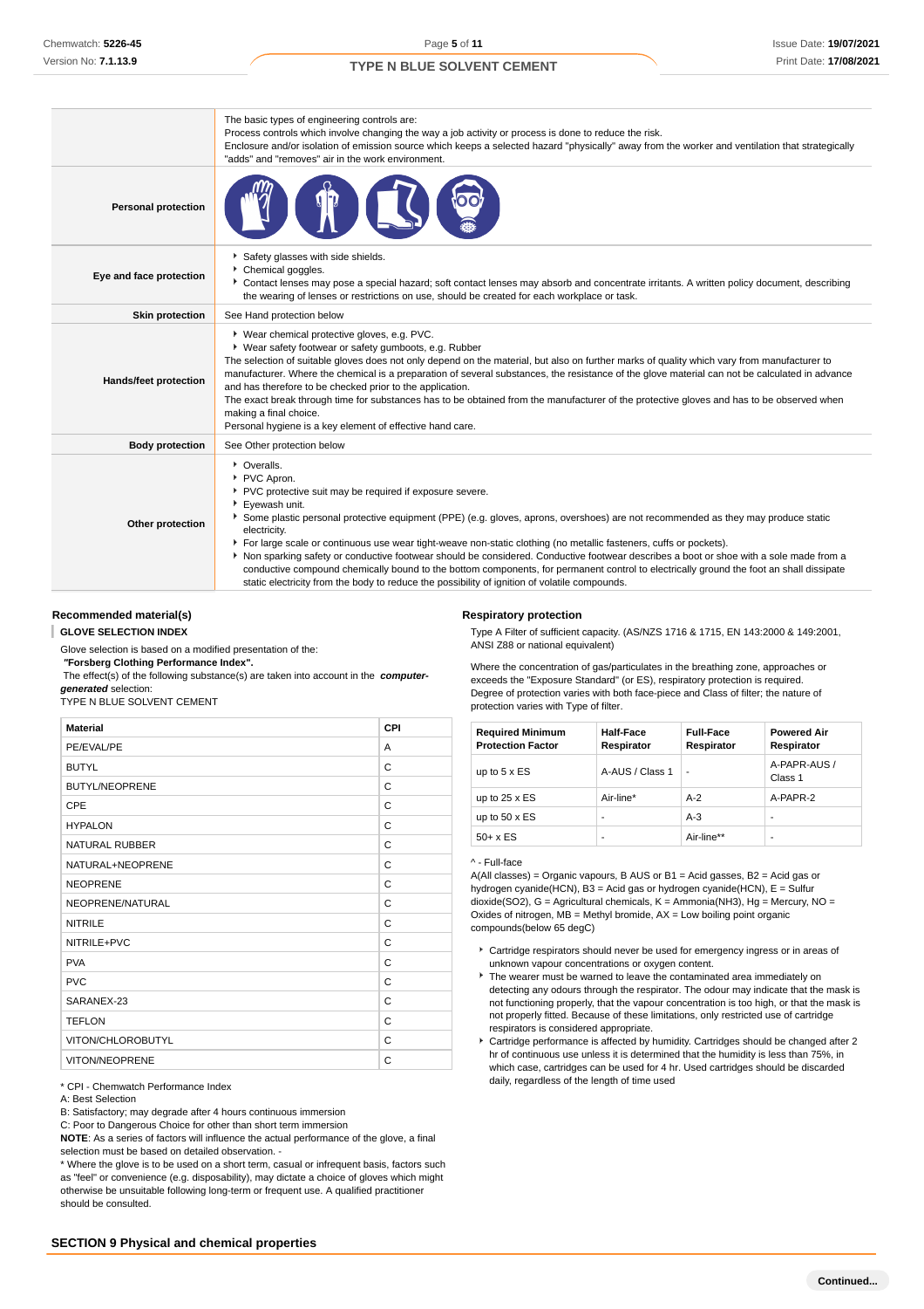|                            | The basic types of engineering controls are:<br>Process controls which involve changing the way a job activity or process is done to reduce the risk.<br>Enclosure and/or isolation of emission source which keeps a selected hazard "physically" away from the worker and ventilation that strategically<br>"adds" and "removes" air in the work environment.                                                                                                                                                                                                                                                                                                                                                                                                      |
|----------------------------|---------------------------------------------------------------------------------------------------------------------------------------------------------------------------------------------------------------------------------------------------------------------------------------------------------------------------------------------------------------------------------------------------------------------------------------------------------------------------------------------------------------------------------------------------------------------------------------------------------------------------------------------------------------------------------------------------------------------------------------------------------------------|
| <b>Personal protection</b> |                                                                                                                                                                                                                                                                                                                                                                                                                                                                                                                                                                                                                                                                                                                                                                     |
| Eye and face protection    | Safety glasses with side shields.<br>Chemical goggles.<br>▶ Contact lenses may pose a special hazard; soft contact lenses may absorb and concentrate irritants. A written policy document, describing<br>the wearing of lenses or restrictions on use, should be created for each workplace or task.                                                                                                                                                                                                                                                                                                                                                                                                                                                                |
| <b>Skin protection</b>     | See Hand protection below                                                                                                                                                                                                                                                                                                                                                                                                                                                                                                                                                                                                                                                                                                                                           |
| Hands/feet protection      | ▶ Wear chemical protective gloves, e.g. PVC.<br>* Wear safety footwear or safety gumboots, e.g. Rubber<br>The selection of suitable gloves does not only depend on the material, but also on further marks of quality which vary from manufacturer to<br>manufacturer. Where the chemical is a preparation of several substances, the resistance of the glove material can not be calculated in advance<br>and has therefore to be checked prior to the application.<br>The exact break through time for substances has to be obtained from the manufacturer of the protective gloves and has to be observed when<br>making a final choice.<br>Personal hygiene is a key element of effective hand care.                                                            |
| <b>Body protection</b>     | See Other protection below                                                                                                                                                                                                                                                                                                                                                                                                                                                                                                                                                                                                                                                                                                                                          |
| Other protection           | • Overalls.<br>PVC Apron.<br>PVC protective suit may be required if exposure severe.<br>Eyewash unit.<br>Some plastic personal protective equipment (PPE) (e.g. gloves, aprons, overshoes) are not recommended as they may produce static<br>electricity.<br>For large scale or continuous use wear tight-weave non-static clothing (no metallic fasteners, cuffs or pockets).<br>Non sparking safety or conductive footwear should be considered. Conductive footwear describes a boot or shoe with a sole made from a<br>conductive compound chemically bound to the bottom components, for permanent control to electrically ground the foot an shall dissipate<br>static electricity from the body to reduce the possibility of ignition of volatile compounds. |

### **Recommended material(s)**

#### **GLOVE SELECTION INDEX**

Glove selection is based on a modified presentation of the:

#### **"Forsberg Clothing Performance Index".**

 The effect(s) of the following substance(s) are taken into account in the **computergenerated** selection:

TYPE N BLUE SOLVENT CEMENT

| <b>Material</b>       | <b>CPI</b> |
|-----------------------|------------|
| PE/EVAL/PE            | A          |
| <b>BUTYL</b>          | C          |
| <b>BUTYL/NEOPRENE</b> | C          |
| CPE                   | C          |
| <b>HYPALON</b>        | C          |
| <b>NATURAL RUBBER</b> | C          |
| NATURAL+NEOPRENE      | C          |
| <b>NEOPRENE</b>       | C          |
| NEOPRENE/NATURAL      | C          |
| <b>NITRILE</b>        | C          |
| NITRILE+PVC           | C          |
| <b>PVA</b>            | C          |
| <b>PVC</b>            | C          |
| SARANEX-23            | C          |
| <b>TEFLON</b>         | C          |
| VITON/CHLOROBUTYL     | C          |
| VITON/NEOPRENE        | C          |

\* CPI - Chemwatch Performance Index

#### A: Best Selection

B: Satisfactory; may degrade after 4 hours continuous immersion

C: Poor to Dangerous Choice for other than short term immersion

**NOTE**: As a series of factors will influence the actual performance of the glove, a final selection must be based on detailed observation. -

\* Where the glove is to be used on a short term, casual or infrequent basis, factors such as "feel" or convenience (e.g. disposability), may dictate a choice of gloves which might otherwise be unsuitable following long-term or frequent use. A qualified practitioner should be consulted.

#### **Respiratory protection**

Type A Filter of sufficient capacity. (AS/NZS 1716 & 1715, EN 143:2000 & 149:2001, ANSI Z88 or national equivalent)

Where the concentration of gas/particulates in the breathing zone, approaches or exceeds the "Exposure Standard" (or ES), respiratory protection is required. Degree of protection varies with both face-piece and Class of filter; the nature of protection varies with Type of filter.

| <b>Required Minimum</b><br><b>Protection Factor</b> | Half-Face<br>Respirator | <b>Full-Face</b><br>Respirator | <b>Powered Air</b><br>Respirator |
|-----------------------------------------------------|-------------------------|--------------------------------|----------------------------------|
| up to $5 \times ES$                                 | A-AUS / Class 1         | ٠                              | A-PAPR-AUS /<br>Class 1          |
| up to $25 \times ES$                                | Air-line*               | $A-2$                          | A-PAPR-2                         |
| up to $50 \times ES$                                | ۰                       | $A-3$                          | ۰                                |
| $50+ x ES$                                          | ۰                       | Air-line**                     | ۰                                |

#### ^ - Full-face

A(All classes) = Organic vapours, B AUS or B1 = Acid gasses, B2 = Acid gas or hydrogen cyanide(HCN), B3 = Acid gas or hydrogen cyanide(HCN), E = Sulfur dioxide(SO2), G = Agricultural chemicals, K = Ammonia(NH3), Hg = Mercury, NO = Oxides of nitrogen,  $MB =$  Methyl bromide,  $AX =$  Low boiling point organic compounds(below 65 degC)

- Cartridge respirators should never be used for emergency ingress or in areas of unknown vapour concentrations or oxygen content.
- The wearer must be warned to leave the contaminated area immediately on detecting any odours through the respirator. The odour may indicate that the mask is not functioning properly, that the vapour concentration is too high, or that the mask is not properly fitted. Because of these limitations, only restricted use of cartridge respirators is considered appropriate.
- Cartridge performance is affected by humidity. Cartridges should be changed after 2 hr of continuous use unless it is determined that the humidity is less than 75%, in which case, cartridges can be used for 4 hr. Used cartridges should be discarded daily, regardless of the length of time used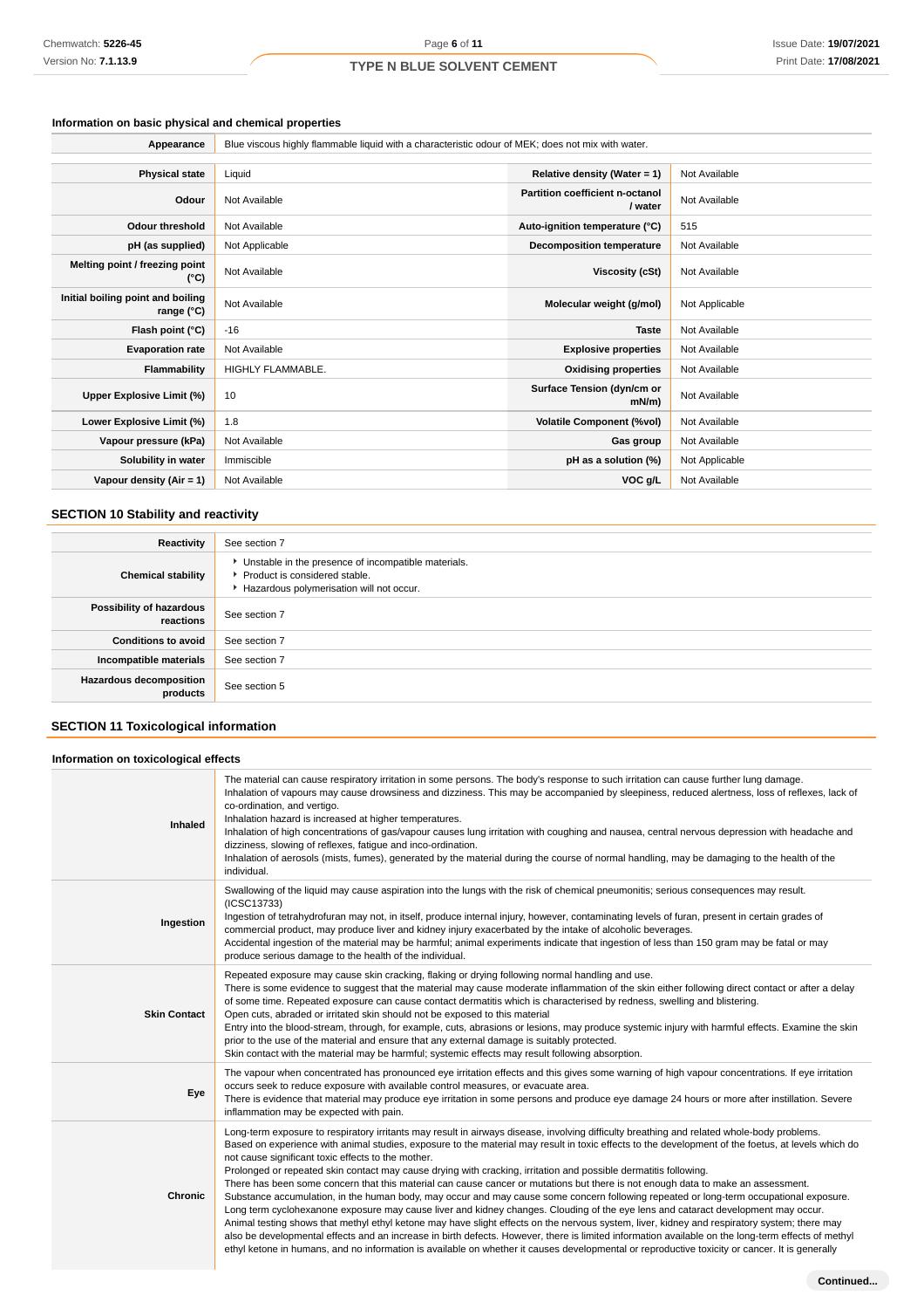# **Information on basic physical and chemical properties**

| Appearance                                      | Blue viscous highly flammable liquid with a characteristic odour of MEK; does not mix with water. |                                            |                |  |
|-------------------------------------------------|---------------------------------------------------------------------------------------------------|--------------------------------------------|----------------|--|
|                                                 |                                                                                                   |                                            |                |  |
| <b>Physical state</b>                           | Liquid                                                                                            | Relative density (Water = $1$ )            | Not Available  |  |
| Odour                                           | Not Available                                                                                     | Partition coefficient n-octanol<br>/ water | Not Available  |  |
| <b>Odour threshold</b>                          | Not Available                                                                                     | Auto-ignition temperature (°C)             | 515            |  |
| pH (as supplied)                                | Not Applicable                                                                                    | <b>Decomposition temperature</b>           | Not Available  |  |
| Melting point / freezing point<br>(°C)          | Not Available                                                                                     | Viscosity (cSt)                            | Not Available  |  |
| Initial boiling point and boiling<br>range (°C) | Not Available                                                                                     | Molecular weight (g/mol)                   | Not Applicable |  |
| Flash point (°C)                                | $-16$                                                                                             | <b>Taste</b>                               | Not Available  |  |
| <b>Evaporation rate</b>                         | Not Available                                                                                     | <b>Explosive properties</b>                | Not Available  |  |
| Flammability                                    | HIGHLY FLAMMABLE.                                                                                 | <b>Oxidising properties</b>                | Not Available  |  |
| Upper Explosive Limit (%)                       | 10                                                                                                | Surface Tension (dyn/cm or<br>$mN/m$ )     | Not Available  |  |
| Lower Explosive Limit (%)                       | 1.8                                                                                               | <b>Volatile Component (%vol)</b>           | Not Available  |  |
| Vapour pressure (kPa)                           | Not Available                                                                                     | Gas group                                  | Not Available  |  |
| Solubility in water                             | Immiscible                                                                                        | pH as a solution (%)                       | Not Applicable |  |
| Vapour density $(Air = 1)$                      | Not Available                                                                                     | VOC g/L                                    | Not Available  |  |

# **SECTION 10 Stability and reactivity**

| Reactivity                                 | See section 7                                                                                                                        |
|--------------------------------------------|--------------------------------------------------------------------------------------------------------------------------------------|
| <b>Chemical stability</b>                  | • Unstable in the presence of incompatible materials.<br>▶ Product is considered stable.<br>Hazardous polymerisation will not occur. |
| Possibility of hazardous<br>reactions      | See section 7                                                                                                                        |
| <b>Conditions to avoid</b>                 | See section 7                                                                                                                        |
| Incompatible materials                     | See section 7                                                                                                                        |
| <b>Hazardous decomposition</b><br>products | See section 5                                                                                                                        |

# **SECTION 11 Toxicological information**

#### **Information on toxicological effects**

| Inhaled             | The material can cause respiratory irritation in some persons. The body's response to such irritation can cause further lung damage.<br>Inhalation of vapours may cause drowsiness and dizziness. This may be accompanied by sleepiness, reduced alertness, loss of reflexes, lack of<br>co-ordination, and vertigo.<br>Inhalation hazard is increased at higher temperatures.<br>Inhalation of high concentrations of gas/vapour causes lung irritation with coughing and nausea, central nervous depression with headache and<br>dizziness, slowing of reflexes, fatigue and inco-ordination.<br>Inhalation of aerosols (mists, fumes), generated by the material during the course of normal handling, may be damaging to the health of the<br>individual.                                                                                                                                                                                                                                                                                                                                                                                                                                                                                                                                                                                         |
|---------------------|-------------------------------------------------------------------------------------------------------------------------------------------------------------------------------------------------------------------------------------------------------------------------------------------------------------------------------------------------------------------------------------------------------------------------------------------------------------------------------------------------------------------------------------------------------------------------------------------------------------------------------------------------------------------------------------------------------------------------------------------------------------------------------------------------------------------------------------------------------------------------------------------------------------------------------------------------------------------------------------------------------------------------------------------------------------------------------------------------------------------------------------------------------------------------------------------------------------------------------------------------------------------------------------------------------------------------------------------------------|
| Ingestion           | Swallowing of the liquid may cause aspiration into the lungs with the risk of chemical pneumonitis; serious consequences may result.<br>(ICSC13733)<br>Ingestion of tetrahydrofuran may not, in itself, produce internal injury, however, contaminating levels of furan, present in certain grades of<br>commercial product, may produce liver and kidney injury exacerbated by the intake of alcoholic beverages.<br>Accidental ingestion of the material may be harmful; animal experiments indicate that ingestion of less than 150 gram may be fatal or may<br>produce serious damage to the health of the individual.                                                                                                                                                                                                                                                                                                                                                                                                                                                                                                                                                                                                                                                                                                                            |
| <b>Skin Contact</b> | Repeated exposure may cause skin cracking, flaking or drying following normal handling and use.<br>There is some evidence to suggest that the material may cause moderate inflammation of the skin either following direct contact or after a delay<br>of some time. Repeated exposure can cause contact dermatitis which is characterised by redness, swelling and blistering.<br>Open cuts, abraded or irritated skin should not be exposed to this material<br>Entry into the blood-stream, through, for example, cuts, abrasions or lesions, may produce systemic injury with harmful effects. Examine the skin<br>prior to the use of the material and ensure that any external damage is suitably protected.<br>Skin contact with the material may be harmful; systemic effects may result following absorption.                                                                                                                                                                                                                                                                                                                                                                                                                                                                                                                                |
| Eye                 | The vapour when concentrated has pronounced eye irritation effects and this gives some warning of high vapour concentrations. If eye irritation<br>occurs seek to reduce exposure with available control measures, or evacuate area.<br>There is evidence that material may produce eye irritation in some persons and produce eye damage 24 hours or more after instillation. Severe<br>inflammation may be expected with pain.                                                                                                                                                                                                                                                                                                                                                                                                                                                                                                                                                                                                                                                                                                                                                                                                                                                                                                                      |
| Chronic             | Long-term exposure to respiratory irritants may result in airways disease, involving difficulty breathing and related whole-body problems.<br>Based on experience with animal studies, exposure to the material may result in toxic effects to the development of the foetus, at levels which do<br>not cause significant toxic effects to the mother.<br>Prolonged or repeated skin contact may cause drying with cracking, irritation and possible dermatitis following.<br>There has been some concern that this material can cause cancer or mutations but there is not enough data to make an assessment.<br>Substance accumulation, in the human body, may occur and may cause some concern following repeated or long-term occupational exposure.<br>Long term cyclohexanone exposure may cause liver and kidney changes. Clouding of the eye lens and cataract development may occur.<br>Animal testing shows that methyl ethyl ketone may have slight effects on the nervous system, liver, kidney and respiratory system; there may<br>also be developmental effects and an increase in birth defects. However, there is limited information available on the long-term effects of methyl<br>ethyl ketone in humans, and no information is available on whether it causes developmental or reproductive toxicity or cancer. It is generally |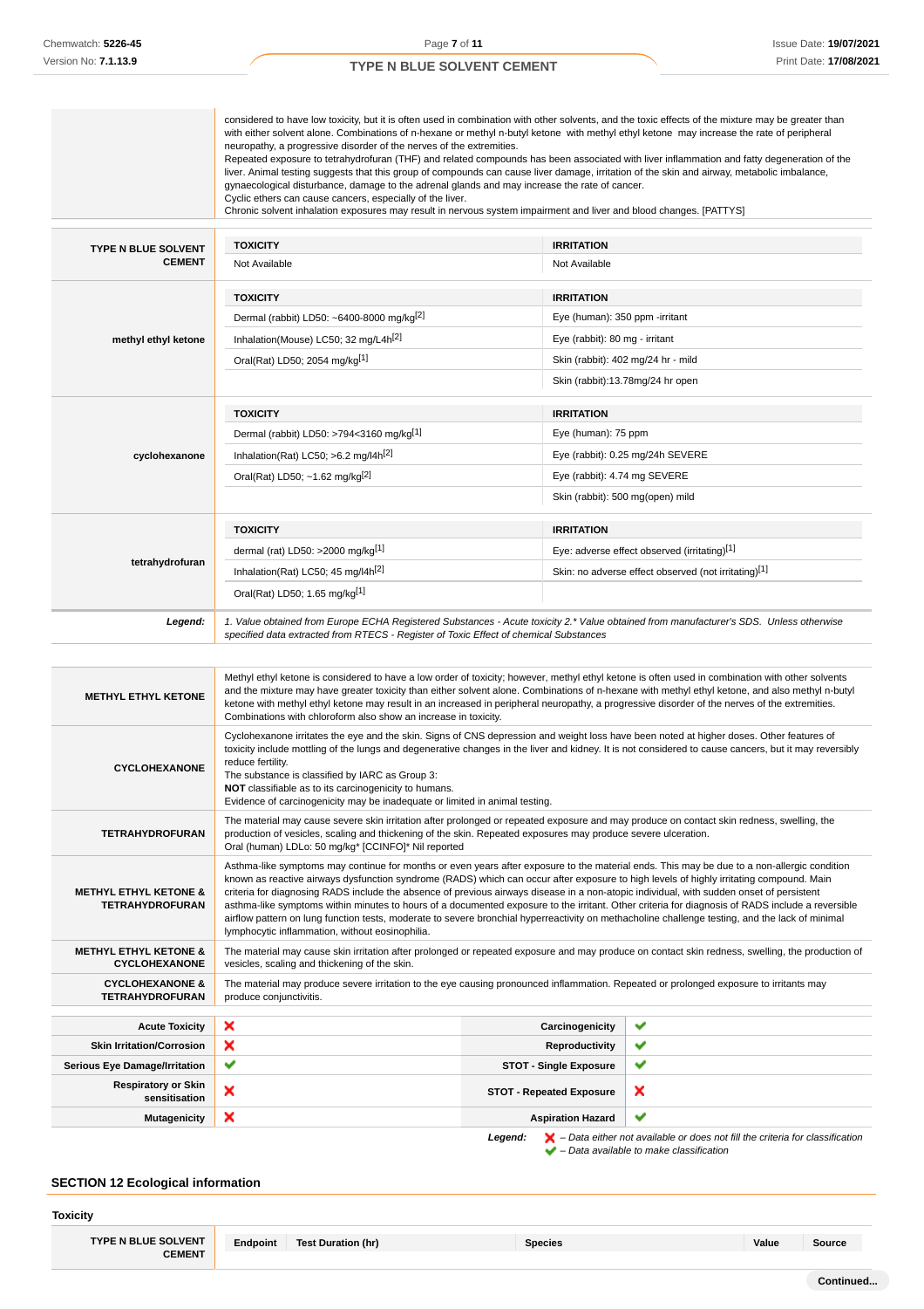|                                                            | considered to have low toxicity, but it is often used in combination with other solvents, and the toxic effects of the mixture may be greater than<br>with either solvent alone. Combinations of n-hexane or methyl n-butyl ketone with methyl ethyl ketone may increase the rate of peripheral<br>neuropathy, a progressive disorder of the nerves of the extremities.<br>Repeated exposure to tetrahydrofuran (THF) and related compounds has been associated with liver inflammation and fatty degeneration of the<br>liver. Animal testing suggests that this group of compounds can cause liver damage, irritation of the skin and airway, metabolic imbalance,<br>gynaecological disturbance, damage to the adrenal glands and may increase the rate of cancer.<br>Cyclic ethers can cause cancers, especially of the liver.<br>Chronic solvent inhalation exposures may result in nervous system impairment and liver and blood changes. [PATTYS] |                                                                                                                                        |                                                                                                                                                  |  |
|------------------------------------------------------------|----------------------------------------------------------------------------------------------------------------------------------------------------------------------------------------------------------------------------------------------------------------------------------------------------------------------------------------------------------------------------------------------------------------------------------------------------------------------------------------------------------------------------------------------------------------------------------------------------------------------------------------------------------------------------------------------------------------------------------------------------------------------------------------------------------------------------------------------------------------------------------------------------------------------------------------------------------|----------------------------------------------------------------------------------------------------------------------------------------|--------------------------------------------------------------------------------------------------------------------------------------------------|--|
| TYPE N BLUE SOLVENT                                        | <b>TOXICITY</b>                                                                                                                                                                                                                                                                                                                                                                                                                                                                                                                                                                                                                                                                                                                                                                                                                                                                                                                                          | <b>IRRITATION</b>                                                                                                                      |                                                                                                                                                  |  |
| <b>CEMENT</b>                                              | Not Available                                                                                                                                                                                                                                                                                                                                                                                                                                                                                                                                                                                                                                                                                                                                                                                                                                                                                                                                            | Not Available                                                                                                                          |                                                                                                                                                  |  |
|                                                            | <b>TOXICITY</b>                                                                                                                                                                                                                                                                                                                                                                                                                                                                                                                                                                                                                                                                                                                                                                                                                                                                                                                                          | <b>IRRITATION</b>                                                                                                                      |                                                                                                                                                  |  |
|                                                            | Dermal (rabbit) LD50: ~6400-8000 mg/kg <sup>[2]</sup>                                                                                                                                                                                                                                                                                                                                                                                                                                                                                                                                                                                                                                                                                                                                                                                                                                                                                                    | Eye (human): 350 ppm -irritant                                                                                                         |                                                                                                                                                  |  |
| methyl ethyl ketone                                        | Inhalation(Mouse) LC50; 32 mg/L4h <sup>[2]</sup>                                                                                                                                                                                                                                                                                                                                                                                                                                                                                                                                                                                                                                                                                                                                                                                                                                                                                                         | Eye (rabbit): 80 mg - irritant                                                                                                         |                                                                                                                                                  |  |
|                                                            | Oral(Rat) LD50; 2054 mg/kg[1]                                                                                                                                                                                                                                                                                                                                                                                                                                                                                                                                                                                                                                                                                                                                                                                                                                                                                                                            | Skin (rabbit): 402 mg/24 hr - mild                                                                                                     |                                                                                                                                                  |  |
|                                                            |                                                                                                                                                                                                                                                                                                                                                                                                                                                                                                                                                                                                                                                                                                                                                                                                                                                                                                                                                          | Skin (rabbit):13.78mg/24 hr open                                                                                                       |                                                                                                                                                  |  |
|                                                            | <b>TOXICITY</b>                                                                                                                                                                                                                                                                                                                                                                                                                                                                                                                                                                                                                                                                                                                                                                                                                                                                                                                                          | <b>IRRITATION</b>                                                                                                                      |                                                                                                                                                  |  |
|                                                            | Dermal (rabbit) LD50: >794<3160 mg/kg[1]                                                                                                                                                                                                                                                                                                                                                                                                                                                                                                                                                                                                                                                                                                                                                                                                                                                                                                                 | Eye (human): 75 ppm                                                                                                                    |                                                                                                                                                  |  |
| cyclohexanone                                              | Inhalation(Rat) LC50; >6.2 mg/l4h <sup>[2]</sup>                                                                                                                                                                                                                                                                                                                                                                                                                                                                                                                                                                                                                                                                                                                                                                                                                                                                                                         |                                                                                                                                        | Eye (rabbit): 0.25 mg/24h SEVERE                                                                                                                 |  |
|                                                            | Oral(Rat) LD50; ~1.62 mg/kg $^{[2]}$                                                                                                                                                                                                                                                                                                                                                                                                                                                                                                                                                                                                                                                                                                                                                                                                                                                                                                                     | Eye (rabbit): 4.74 mg SEVERE                                                                                                           |                                                                                                                                                  |  |
|                                                            |                                                                                                                                                                                                                                                                                                                                                                                                                                                                                                                                                                                                                                                                                                                                                                                                                                                                                                                                                          | Skin (rabbit): 500 mg(open) mild                                                                                                       |                                                                                                                                                  |  |
|                                                            |                                                                                                                                                                                                                                                                                                                                                                                                                                                                                                                                                                                                                                                                                                                                                                                                                                                                                                                                                          |                                                                                                                                        |                                                                                                                                                  |  |
|                                                            | <b>TOXICITY</b>                                                                                                                                                                                                                                                                                                                                                                                                                                                                                                                                                                                                                                                                                                                                                                                                                                                                                                                                          | <b>IRRITATION</b>                                                                                                                      |                                                                                                                                                  |  |
| tetrahydrofuran                                            | dermal (rat) LD50: >2000 mg/kg <sup>[1]</sup><br>Inhalation(Rat) LC50; 45 mg/l4h <sup>[2]</sup>                                                                                                                                                                                                                                                                                                                                                                                                                                                                                                                                                                                                                                                                                                                                                                                                                                                          |                                                                                                                                        | Eye: adverse effect observed (irritating)[1]                                                                                                     |  |
|                                                            | Skin: no adverse effect observed (not irritating)[1]<br>Oral(Rat) LD50; 1.65 mg/kg <sup>[1]</sup>                                                                                                                                                                                                                                                                                                                                                                                                                                                                                                                                                                                                                                                                                                                                                                                                                                                        |                                                                                                                                        |                                                                                                                                                  |  |
| Legend:                                                    | 1. Value obtained from Europe ECHA Registered Substances - Acute toxicity 2.* Value obtained from manufacturer's SDS. Unless otherwise<br>specified data extracted from RTECS - Register of Toxic Effect of chemical Substances                                                                                                                                                                                                                                                                                                                                                                                                                                                                                                                                                                                                                                                                                                                          |                                                                                                                                        |                                                                                                                                                  |  |
| <b>METHYL ETHYL KETONE</b>                                 | Methyl ethyl ketone is considered to have a low order of toxicity; however, methyl ethyl ketone is often used in combination with other solvents<br>and the mixture may have greater toxicity than either solvent alone. Combinations of n-hexane with methyl ethyl ethone, and also methyl n-butyl<br>ketone with methyl ethyl ketone may result in an increased in peripheral neuropathy, a progressive disorder of the nerves of the extremities.<br>Combinations with chloroform also show an increase in toxicity.                                                                                                                                                                                                                                                                                                                                                                                                                                  |                                                                                                                                        |                                                                                                                                                  |  |
| <b>CYCLOHEXANONE</b>                                       | Cyclohexanone irritates the eye and the skin. Signs of CNS depression and weight loss have been noted at higher doses. Other features of<br>toxicity include mottling of the lungs and degenerative changes in the liver and kidney. It is not considered to cause cancers, but it may reversibly<br>reduce fertility.<br>The substance is classified by IARC as Group 3:<br>NOT classifiable as to its carcinogenicity to humans.<br>Evidence of carcinogenicity may be inadequate or limited in animal testing.                                                                                                                                                                                                                                                                                                                                                                                                                                        |                                                                                                                                        |                                                                                                                                                  |  |
| <b>TETRAHYDROFURAN</b>                                     | The material may cause severe skin irritation after prolonged or repeated exposure and may produce on contact skin redness, swelling, the<br>production of vesicles, scaling and thickening of the skin. Repeated exposures may produce severe ulceration.<br>Oral (human) LDLo: 50 mg/kg* [CCINFO]* Nil reported                                                                                                                                                                                                                                                                                                                                                                                                                                                                                                                                                                                                                                        |                                                                                                                                        |                                                                                                                                                  |  |
| <b>METHYL ETHYL KETONE &amp;</b><br><b>TETRAHYDROFURAN</b> | Asthma-like symptoms may continue for months or even years after exposure to the material ends. This may be due to a non-allergic condition<br>known as reactive airways dysfunction syndrome (RADS) which can occur after exposure to high levels of highly irritating compound. Main<br>criteria for diagnosing RADS include the absence of previous airways disease in a non-atopic individual, with sudden onset of persistent<br>asthma-like symptoms within minutes to hours of a documented exposure to the irritant. Other criteria for diagnosis of RADS include a reversible<br>airflow pattern on lung function tests, moderate to severe bronchial hyperreactivity on methacholine challenge testing, and the lack of minimal<br>lymphocytic inflammation, without eosinophilia.                                                                                                                                                             |                                                                                                                                        |                                                                                                                                                  |  |
| <b>METHYL ETHYL KETONE &amp;</b><br><b>CYCLOHEXANONE</b>   | vesicles, scaling and thickening of the skin.                                                                                                                                                                                                                                                                                                                                                                                                                                                                                                                                                                                                                                                                                                                                                                                                                                                                                                            |                                                                                                                                        | The material may cause skin irritation after prolonged or repeated exposure and may produce on contact skin redness, swelling, the production of |  |
| <b>CYCLOHEXANONE &amp;</b><br><b>TETRAHYDROFURAN</b>       | produce conjunctivitis.                                                                                                                                                                                                                                                                                                                                                                                                                                                                                                                                                                                                                                                                                                                                                                                                                                                                                                                                  | The material may produce severe irritation to the eye causing pronounced inflammation. Repeated or prolonged exposure to irritants may |                                                                                                                                                  |  |
| <b>Acute Toxicity</b>                                      | ×                                                                                                                                                                                                                                                                                                                                                                                                                                                                                                                                                                                                                                                                                                                                                                                                                                                                                                                                                        | Carcinogenicity                                                                                                                        | ✔                                                                                                                                                |  |
| <b>Skin Irritation/Corrosion</b>                           | ×                                                                                                                                                                                                                                                                                                                                                                                                                                                                                                                                                                                                                                                                                                                                                                                                                                                                                                                                                        | <b>Reproductivity</b>                                                                                                                  | ✔                                                                                                                                                |  |
| <b>Serious Eye Damage/Irritation</b>                       | ✔                                                                                                                                                                                                                                                                                                                                                                                                                                                                                                                                                                                                                                                                                                                                                                                                                                                                                                                                                        | <b>STOT - Single Exposure</b>                                                                                                          | ✔                                                                                                                                                |  |
| <b>Respiratory or Skin</b><br>sensitisation                | ×                                                                                                                                                                                                                                                                                                                                                                                                                                                                                                                                                                                                                                                                                                                                                                                                                                                                                                                                                        | <b>STOT - Repeated Exposure</b>                                                                                                        | ×                                                                                                                                                |  |
| <b>Mutagenicity</b>                                        | ×<br>✔<br><b>Aspiration Hazard</b>                                                                                                                                                                                                                                                                                                                                                                                                                                                                                                                                                                                                                                                                                                                                                                                                                                                                                                                       |                                                                                                                                        |                                                                                                                                                  |  |

**Legend:**  $\mathbf{X}$  – Data either not available or does not fill the criteria for classification – Data available to make classification

# **SECTION 12 Ecological information**

**Toxicity**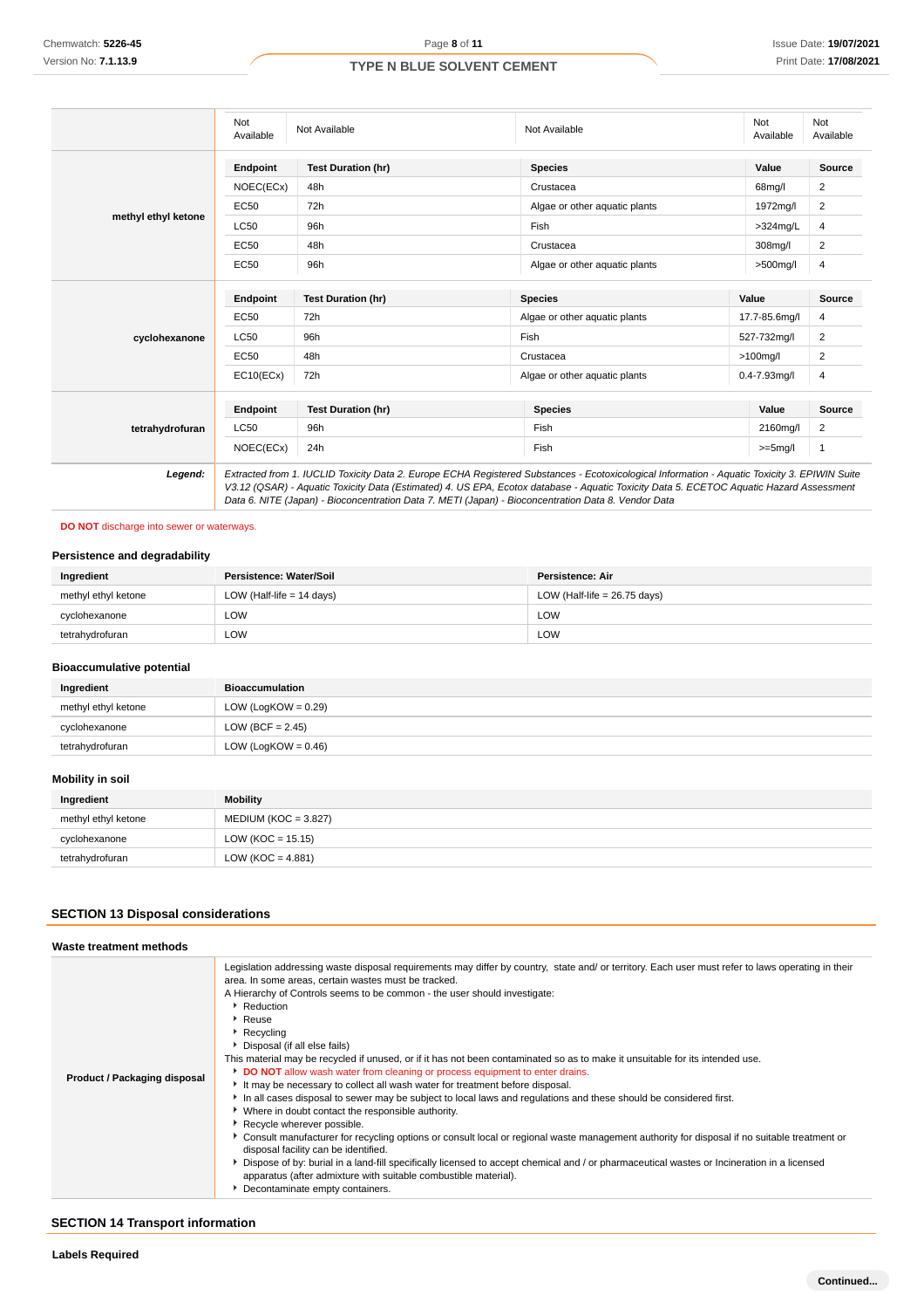|                     | Not<br>Available | Not Available                               | Not Available                 |               | Not<br>Available |
|---------------------|------------------|---------------------------------------------|-------------------------------|---------------|------------------|
|                     | Endpoint         | <b>Test Duration (hr)</b><br><b>Species</b> |                               | Value         | <b>Source</b>    |
|                     | NOEC(ECx)        | 48h                                         | Crustacea                     | 68mg/l        | 2                |
|                     | <b>EC50</b>      | 72h                                         | Algae or other aguatic plants | 1972mg/l      | 2                |
| methyl ethyl ketone | <b>LC50</b>      | 96h                                         | Fish                          | $>324$ mg/L   | 4                |
|                     | EC50             | 48h                                         | Crustacea                     | 308mg/l       | 2                |
|                     | EC50             | 96h                                         | Algae or other aguatic plants | $>500$ mg/l   | 4                |
|                     | Endpoint         | <b>Test Duration (hr)</b>                   | <b>Species</b>                | Value         | Source           |
|                     | EC50             | 72h                                         | Algae or other aquatic plants | 17.7-85.6mg/l | 4                |
| cyclohexanone       | <b>LC50</b>      | 96h                                         | Fish                          | 527-732mg/l   | 2                |
|                     | <b>EC50</b>      | 48h                                         | Crustacea                     | $>100$ mg/l   | 2                |
|                     | EC10(ECx)        | 72h                                         | Algae or other aquatic plants | 0.4-7.93mg/l  | 4                |
|                     | Endpoint         | <b>Test Duration (hr)</b>                   | <b>Species</b>                | Value         | Source           |
| tetrahydrofuran     | <b>LC50</b>      | 96h                                         | Fish                          | 2160mg/l      | 2                |
|                     | NOEC(ECx)        | 24h                                         | Fish                          | $>=5mg/l$     | $\mathbf{1}$     |

**DO NOT** discharge into sewer or waterways.

### **Persistence and degradability**

| Ingredient          | Persistence: Water/Soil     | Persistence: Air               |
|---------------------|-----------------------------|--------------------------------|
| methyl ethyl ketone | LOW (Half-life $= 14$ days) | LOW (Half-life = $26.75$ days) |
| cyclohexanone       | LOW                         | LOW                            |
| tetrahydrofuran     | LOW                         | LOW                            |

### **Bioaccumulative potential**

| Ingredient          | <b>Bioaccumulation</b> |
|---------------------|------------------------|
| methyl ethyl ketone | LOW (LogKOW = $0.29$ ) |
| cyclohexanone       | LOW (BCF = $2.45$ )    |
| tetrahydrofuran     | LOW (LogKOW = $0.46$ ) |

# **Mobility in soil**

| Ingredient          | Mobility               |
|---------------------|------------------------|
| methyl ethyl ketone | $MEDIUM (KOC = 3.827)$ |
| cyclohexanone       | $LOW (KOC = 15.15)$    |
| tetrahydrofuran     | LOW (KOC = $4.881$ )   |

# **SECTION 13 Disposal considerations**

| Waste treatment methods      |                                                                                                                                                                                                                                                                                                                                                                                                                                                                                                                                                                                                                                                                                                                                                                                                                                                                                                                                                                                                                                                                                                                                                                                                                                                                                                                         |
|------------------------------|-------------------------------------------------------------------------------------------------------------------------------------------------------------------------------------------------------------------------------------------------------------------------------------------------------------------------------------------------------------------------------------------------------------------------------------------------------------------------------------------------------------------------------------------------------------------------------------------------------------------------------------------------------------------------------------------------------------------------------------------------------------------------------------------------------------------------------------------------------------------------------------------------------------------------------------------------------------------------------------------------------------------------------------------------------------------------------------------------------------------------------------------------------------------------------------------------------------------------------------------------------------------------------------------------------------------------|
| Product / Packaging disposal | Legislation addressing waste disposal requirements may differ by country, state and/ or territory. Each user must refer to laws operating in their<br>area. In some areas, certain wastes must be tracked.<br>A Hierarchy of Controls seems to be common - the user should investigate:<br>▶ Reduction<br>▶ Reuse<br>▶ Recycling<br>▶ Disposal (if all else fails)<br>This material may be recycled if unused, or if it has not been contaminated so as to make it unsuitable for its intended use.<br>DO NOT allow wash water from cleaning or process equipment to enter drains.<br>It may be necessary to collect all wash water for treatment before disposal.<br>In all cases disposal to sewer may be subject to local laws and regulations and these should be considered first.<br>• Where in doubt contact the responsible authority.<br>Recycle wherever possible.<br>Consult manufacturer for recycling options or consult local or regional waste management authority for disposal if no suitable treatment or<br>disposal facility can be identified.<br>Dispose of by: burial in a land-fill specifically licensed to accept chemical and / or pharmaceutical wastes or Incineration in a licensed<br>apparatus (after admixture with suitable combustible material).<br>Decontaminate empty containers. |

# **SECTION 14 Transport information**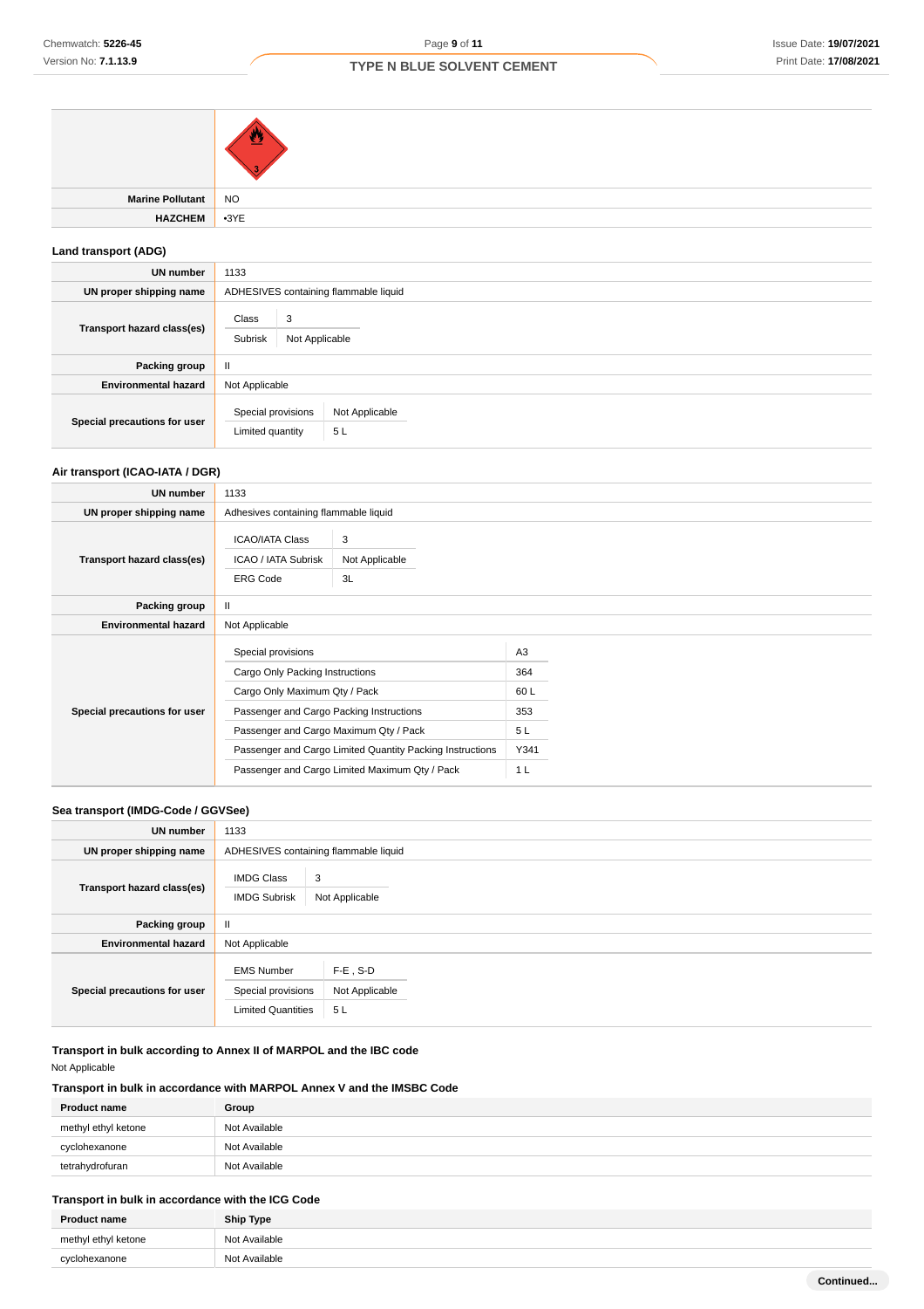| <b>Marine Pollutant</b> | NO |
|-------------------------|----|
| HAZCHEM 3YE             |    |
|                         |    |

# **Land transport (ADG)**

| <b>UN number</b>             | 1133                                                           |  |  |
|------------------------------|----------------------------------------------------------------|--|--|
| UN proper shipping name      | ADHESIVES containing flammable liquid                          |  |  |
| Transport hazard class(es)   | Class<br>3<br>Subrisk<br>Not Applicable                        |  |  |
| Packing group                | Ш                                                              |  |  |
| <b>Environmental hazard</b>  | Not Applicable                                                 |  |  |
| Special precautions for user | Special provisions<br>Not Applicable<br>5L<br>Limited quantity |  |  |

# **Air transport (ICAO-IATA / DGR)**

| UN number                    | 1133                                                                                                                                                                                                                                                                                        |                                       |                                                                     |  |
|------------------------------|---------------------------------------------------------------------------------------------------------------------------------------------------------------------------------------------------------------------------------------------------------------------------------------------|---------------------------------------|---------------------------------------------------------------------|--|
| UN proper shipping name      |                                                                                                                                                                                                                                                                                             | Adhesives containing flammable liquid |                                                                     |  |
| Transport hazard class(es)   | <b>ICAO/IATA Class</b><br>ICAO / IATA Subrisk<br><b>ERG Code</b>                                                                                                                                                                                                                            | 3<br>Not Applicable<br>3L             |                                                                     |  |
| Packing group                | Ш                                                                                                                                                                                                                                                                                           |                                       |                                                                     |  |
| <b>Environmental hazard</b>  | Not Applicable                                                                                                                                                                                                                                                                              |                                       |                                                                     |  |
| Special precautions for user | Special provisions<br>Cargo Only Packing Instructions<br>Cargo Only Maximum Qty / Pack<br>Passenger and Cargo Packing Instructions<br>Passenger and Cargo Maximum Qty / Pack<br>Passenger and Cargo Limited Quantity Packing Instructions<br>Passenger and Cargo Limited Maximum Qty / Pack |                                       | A <sub>3</sub><br>364<br>60L<br>353<br>5L<br>Y341<br>1 <sub>L</sub> |  |

### **Sea transport (IMDG-Code / GGVSee)**

| <b>UN number</b>             | 1133                                                                 |                                     |  |  |
|------------------------------|----------------------------------------------------------------------|-------------------------------------|--|--|
| UN proper shipping name      | ADHESIVES containing flammable liquid                                |                                     |  |  |
| Transport hazard class(es)   | <b>IMDG Class</b><br><b>IMDG Subrisk</b>                             | 3<br>Not Applicable                 |  |  |
| Packing group                | Ш                                                                    |                                     |  |  |
| <b>Environmental hazard</b>  | Not Applicable                                                       |                                     |  |  |
| Special precautions for user | <b>EMS Number</b><br>Special provisions<br><b>Limited Quantities</b> | $F-E$ , S-D<br>Not Applicable<br>5L |  |  |

**Transport in bulk according to Annex II of MARPOL and the IBC code** Not Applicable

# **Transport in bulk in accordance with MARPOL Annex V and the IMSBC Code**

| <b>Product name</b> | Group         |
|---------------------|---------------|
| methyl ethyl ketone | Not Available |
| cyclohexanone       | Not Available |
| tetrahydrofuran     | Not Available |

# **Transport in bulk in accordance with the ICG Code**

| <b>Product name</b> | <b>Ship Type</b> |  |
|---------------------|------------------|--|
| methyl ethyl ketone | Not Available    |  |
| cyclohexanone       | Not Available    |  |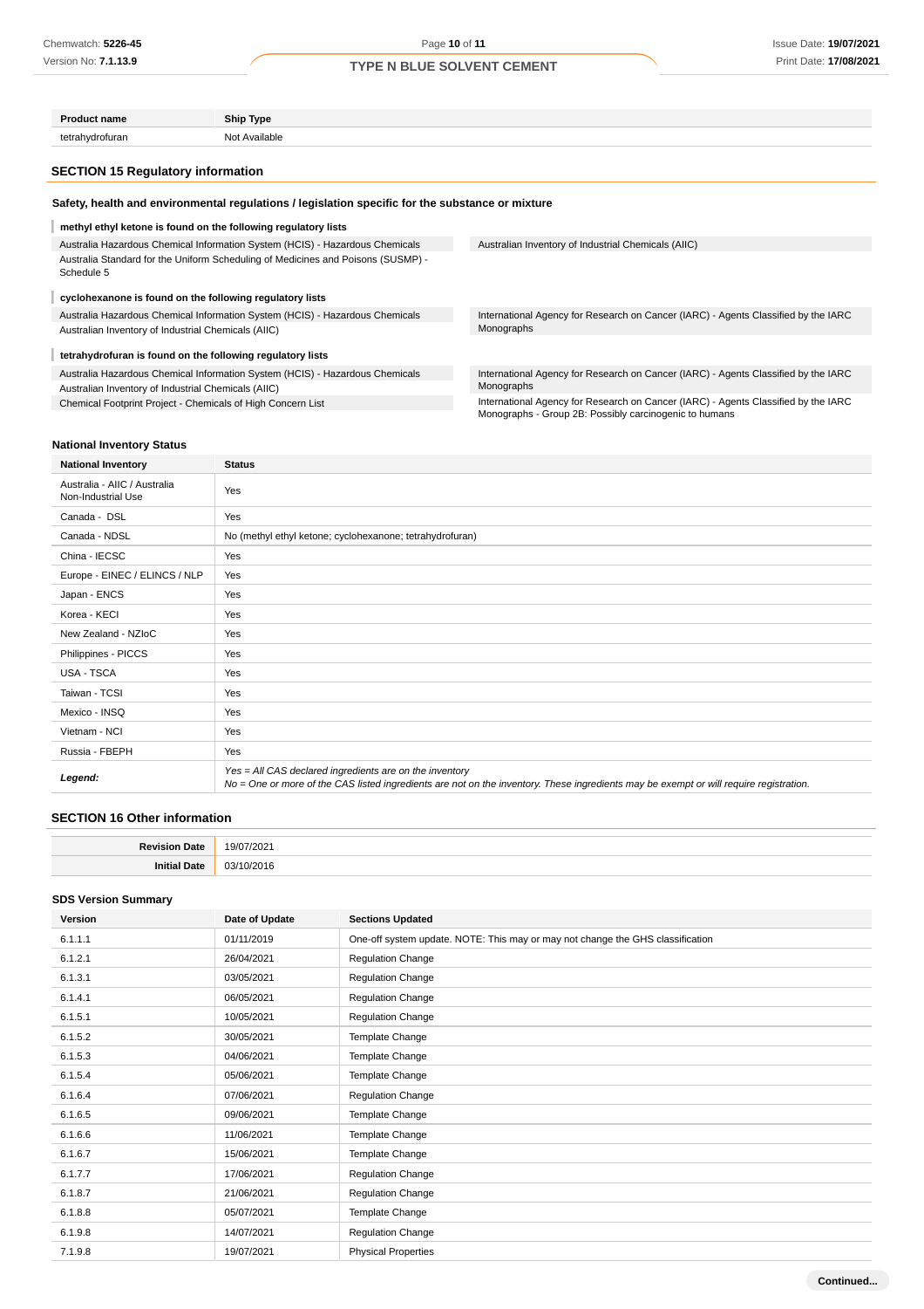| <b>Product name</b>                                                                                                                 | Ship Type                                                                        |                                                                                                                                              |  |  |
|-------------------------------------------------------------------------------------------------------------------------------------|----------------------------------------------------------------------------------|----------------------------------------------------------------------------------------------------------------------------------------------|--|--|
| tetrahydrofuran                                                                                                                     | Not Available                                                                    |                                                                                                                                              |  |  |
| <b>SECTION 15 Regulatory information</b>                                                                                            |                                                                                  |                                                                                                                                              |  |  |
| Safety, health and environmental regulations / legislation specific for the substance or mixture                                    |                                                                                  |                                                                                                                                              |  |  |
|                                                                                                                                     | methyl ethyl ketone is found on the following regulatory lists                   |                                                                                                                                              |  |  |
|                                                                                                                                     | Australia Hazardous Chemical Information System (HCIS) - Hazardous Chemicals     | Australian Inventory of Industrial Chemicals (AIIC)                                                                                          |  |  |
| Schedule 5                                                                                                                          | Australia Standard for the Uniform Scheduling of Medicines and Poisons (SUSMP) - |                                                                                                                                              |  |  |
| cyclohexanone is found on the following regulatory lists                                                                            |                                                                                  |                                                                                                                                              |  |  |
| Australia Hazardous Chemical Information System (HCIS) - Hazardous Chemicals<br>Australian Inventory of Industrial Chemicals (AIIC) |                                                                                  | International Agency for Research on Cancer (IARC) - Agents Classified by the IARC<br>Monographs                                             |  |  |
| tetrahydrofuran is found on the following regulatory lists                                                                          |                                                                                  |                                                                                                                                              |  |  |
| Australia Hazardous Chemical Information System (HCIS) - Hazardous Chemicals<br>Australian Inventory of Industrial Chemicals (AIIC) |                                                                                  | International Agency for Research on Cancer (IARC) - Agents Classified by the IARC<br>Monographs                                             |  |  |
| Chemical Footprint Project - Chemicals of High Concern List                                                                         |                                                                                  | International Agency for Research on Cancer (IARC) - Agents Classified by the IARC<br>Monographs - Group 2B: Possibly carcinogenic to humans |  |  |

### **National Inventory Status**

| <b>National Inventory</b>                          | <b>Status</b>                                                                                                                                                                                     |
|----------------------------------------------------|---------------------------------------------------------------------------------------------------------------------------------------------------------------------------------------------------|
| Australia - AIIC / Australia<br>Non-Industrial Use | Yes                                                                                                                                                                                               |
| Canada - DSL                                       | Yes                                                                                                                                                                                               |
| Canada - NDSL                                      | No (methyl ethyl ketone; cyclohexanone; tetrahydrofuran)                                                                                                                                          |
| China - IECSC                                      | Yes                                                                                                                                                                                               |
| Europe - EINEC / ELINCS / NLP                      | Yes                                                                                                                                                                                               |
| Japan - ENCS                                       | Yes                                                                                                                                                                                               |
| Korea - KECI                                       | Yes                                                                                                                                                                                               |
| New Zealand - NZIoC                                | Yes                                                                                                                                                                                               |
| Philippines - PICCS                                | Yes                                                                                                                                                                                               |
| <b>USA - TSCA</b>                                  | Yes                                                                                                                                                                                               |
| Taiwan - TCSI                                      | Yes                                                                                                                                                                                               |
| Mexico - INSQ                                      | Yes                                                                                                                                                                                               |
| Vietnam - NCI                                      | Yes                                                                                                                                                                                               |
| Russia - FBEPH                                     | Yes                                                                                                                                                                                               |
| Legend:                                            | Yes = All CAS declared ingredients are on the inventory<br>No = One or more of the CAS listed ingredients are not on the inventory. These ingredients may be exempt or will require registration. |

### **SECTION 16 Other information**

| . . |   |
|-----|---|
|     | . |
|     |   |

### **SDS Version Summary**

| Version | Date of Update | <b>Sections Updated</b>                                                        |
|---------|----------------|--------------------------------------------------------------------------------|
| 6.1.1.1 | 01/11/2019     | One-off system update. NOTE: This may or may not change the GHS classification |
| 6.1.2.1 | 26/04/2021     | <b>Regulation Change</b>                                                       |
| 6.1.3.1 | 03/05/2021     | <b>Regulation Change</b>                                                       |
| 6.1.4.1 | 06/05/2021     | <b>Regulation Change</b>                                                       |
| 6.1.5.1 | 10/05/2021     | <b>Regulation Change</b>                                                       |
| 6.1.5.2 | 30/05/2021     | Template Change                                                                |
| 6.1.5.3 | 04/06/2021     | Template Change                                                                |
| 6.1.5.4 | 05/06/2021     | Template Change                                                                |
| 6.1.6.4 | 07/06/2021     | <b>Regulation Change</b>                                                       |
| 6.1.6.5 | 09/06/2021     | Template Change                                                                |
| 6.1.6.6 | 11/06/2021     | Template Change                                                                |
| 6.1.6.7 | 15/06/2021     | Template Change                                                                |
| 6.1.7.7 | 17/06/2021     | <b>Regulation Change</b>                                                       |
| 6.1.8.7 | 21/06/2021     | <b>Regulation Change</b>                                                       |
| 6.1.8.8 | 05/07/2021     | Template Change                                                                |
| 6.1.9.8 | 14/07/2021     | <b>Regulation Change</b>                                                       |
| 7.1.9.8 | 19/07/2021     | <b>Physical Properties</b>                                                     |